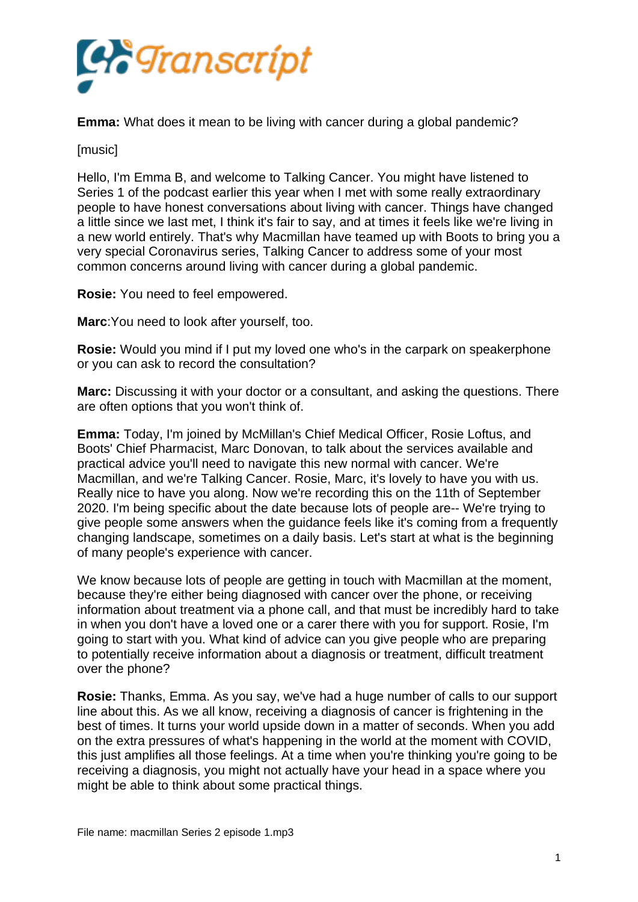

**Emma:** What does it mean to be living with cancer during a global pandemic?

[music]

Hello, I'm Emma B, and welcome to Talking Cancer. You might have listened to Series 1 of the podcast earlier this year when I met with some really extraordinary people to have honest conversations about living with cancer. Things have changed a little since we last met, I think it's fair to say, and at times it feels like we're living in a new world entirely. That's why Macmillan have teamed up with Boots to bring you a very special Coronavirus series, Talking Cancer to address some of your most common concerns around living with cancer during a global pandemic.

**Rosie:** You need to feel empowered.

**Marc**:You need to look after yourself, too.

**Rosie:** Would you mind if I put my loved one who's in the carpark on speakerphone or you can ask to record the consultation?

**Marc:** Discussing it with your doctor or a consultant, and asking the questions. There are often options that you won't think of.

**Emma:** Today, I'm joined by McMillan's Chief Medical Officer, Rosie Loftus, and Boots' Chief Pharmacist, Marc Donovan, to talk about the services available and practical advice you'll need to navigate this new normal with cancer. We're Macmillan, and we're Talking Cancer. Rosie, Marc, it's lovely to have you with us. Really nice to have you along. Now we're recording this on the 11th of September 2020. I'm being specific about the date because lots of people are-- We're trying to give people some answers when the guidance feels like it's coming from a frequently changing landscape, sometimes on a daily basis. Let's start at what is the beginning of many people's experience with cancer.

We know because lots of people are getting in touch with Macmillan at the moment, because they're either being diagnosed with cancer over the phone, or receiving information about treatment via a phone call, and that must be incredibly hard to take in when you don't have a loved one or a carer there with you for support. Rosie, I'm going to start with you. What kind of advice can you give people who are preparing to potentially receive information about a diagnosis or treatment, difficult treatment over the phone?

**Rosie:** Thanks, Emma. As you say, we've had a huge number of calls to our support line about this. As we all know, receiving a diagnosis of cancer is frightening in the best of times. It turns your world upside down in a matter of seconds. When you add on the extra pressures of what's happening in the world at the moment with COVID, this just amplifies all those feelings. At a time when you're thinking you're going to be receiving a diagnosis, you might not actually have your head in a space where you might be able to think about some practical things.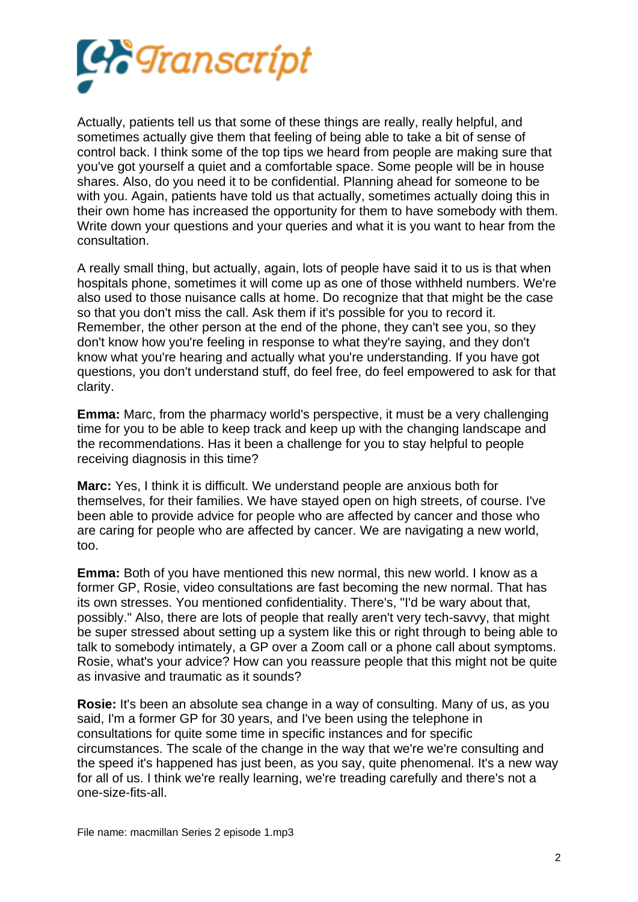

Actually, patients tell us that some of these things are really, really helpful, and sometimes actually give them that feeling of being able to take a bit of sense of control back. I think some of the top tips we heard from people are making sure that you've got yourself a quiet and a comfortable space. Some people will be in house shares. Also, do you need it to be confidential. Planning ahead for someone to be with you. Again, patients have told us that actually, sometimes actually doing this in their own home has increased the opportunity for them to have somebody with them. Write down your questions and your queries and what it is you want to hear from the consultation.

A really small thing, but actually, again, lots of people have said it to us is that when hospitals phone, sometimes it will come up as one of those withheld numbers. We're also used to those nuisance calls at home. Do recognize that that might be the case so that you don't miss the call. Ask them if it's possible for you to record it. Remember, the other person at the end of the phone, they can't see you, so they don't know how you're feeling in response to what they're saying, and they don't know what you're hearing and actually what you're understanding. If you have got questions, you don't understand stuff, do feel free, do feel empowered to ask for that clarity.

**Emma:** Marc, from the pharmacy world's perspective, it must be a very challenging time for you to be able to keep track and keep up with the changing landscape and the recommendations. Has it been a challenge for you to stay helpful to people receiving diagnosis in this time?

**Marc:** Yes, I think it is difficult. We understand people are anxious both for themselves, for their families. We have stayed open on high streets, of course. I've been able to provide advice for people who are affected by cancer and those who are caring for people who are affected by cancer. We are navigating a new world, too.

**Emma:** Both of you have mentioned this new normal, this new world. I know as a former GP, Rosie, video consultations are fast becoming the new normal. That has its own stresses. You mentioned confidentiality. There's, "I'd be wary about that, possibly." Also, there are lots of people that really aren't very tech-savvy, that might be super stressed about setting up a system like this or right through to being able to talk to somebody intimately, a GP over a Zoom call or a phone call about symptoms. Rosie, what's your advice? How can you reassure people that this might not be quite as invasive and traumatic as it sounds?

**Rosie:** It's been an absolute sea change in a way of consulting. Many of us, as you said, I'm a former GP for 30 years, and I've been using the telephone in consultations for quite some time in specific instances and for specific circumstances. The scale of the change in the way that we're we're consulting and the speed it's happened has just been, as you say, quite phenomenal. It's a new way for all of us. I think we're really learning, we're treading carefully and there's not a one-size-fits-all.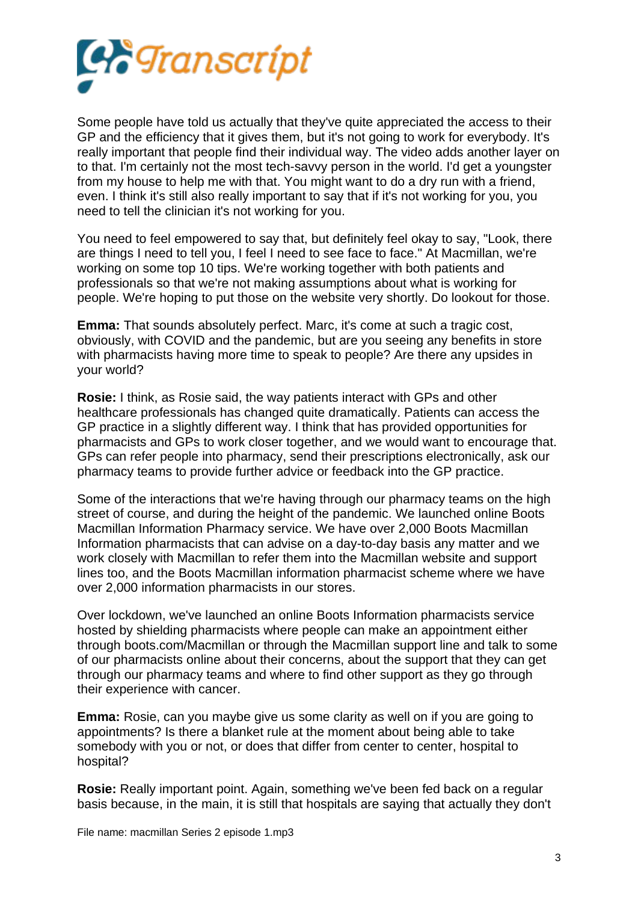

Some people have told us actually that they've quite appreciated the access to their GP and the efficiency that it gives them, but it's not going to work for everybody. It's really important that people find their individual way. The video adds another layer on to that. I'm certainly not the most tech-savvy person in the world. I'd get a youngster from my house to help me with that. You might want to do a dry run with a friend, even. I think it's still also really important to say that if it's not working for you, you need to tell the clinician it's not working for you.

You need to feel empowered to say that, but definitely feel okay to say, "Look, there are things I need to tell you, I feel I need to see face to face." At Macmillan, we're working on some top 10 tips. We're working together with both patients and professionals so that we're not making assumptions about what is working for people. We're hoping to put those on the website very shortly. Do lookout for those.

**Emma:** That sounds absolutely perfect. Marc, it's come at such a tragic cost, obviously, with COVID and the pandemic, but are you seeing any benefits in store with pharmacists having more time to speak to people? Are there any upsides in your world?

**Rosie:** I think, as Rosie said, the way patients interact with GPs and other healthcare professionals has changed quite dramatically. Patients can access the GP practice in a slightly different way. I think that has provided opportunities for pharmacists and GPs to work closer together, and we would want to encourage that. GPs can refer people into pharmacy, send their prescriptions electronically, ask our pharmacy teams to provide further advice or feedback into the GP practice.

Some of the interactions that we're having through our pharmacy teams on the high street of course, and during the height of the pandemic. We launched online Boots Macmillan Information Pharmacy service. We have over 2,000 Boots Macmillan Information pharmacists that can advise on a day-to-day basis any matter and we work closely with Macmillan to refer them into the Macmillan website and support lines too, and the Boots Macmillan information pharmacist scheme where we have over 2,000 information pharmacists in our stores.

Over lockdown, we've launched an online Boots Information pharmacists service hosted by shielding pharmacists where people can make an appointment either through boots.com/Macmillan or through the Macmillan support line and talk to some of our pharmacists online about their concerns, about the support that they can get through our pharmacy teams and where to find other support as they go through their experience with cancer.

**Emma:** Rosie, can you maybe give us some clarity as well on if you are going to appointments? Is there a blanket rule at the moment about being able to take somebody with you or not, or does that differ from center to center, hospital to hospital?

**Rosie:** Really important point. Again, something we've been fed back on a regular basis because, in the main, it is still that hospitals are saying that actually they don't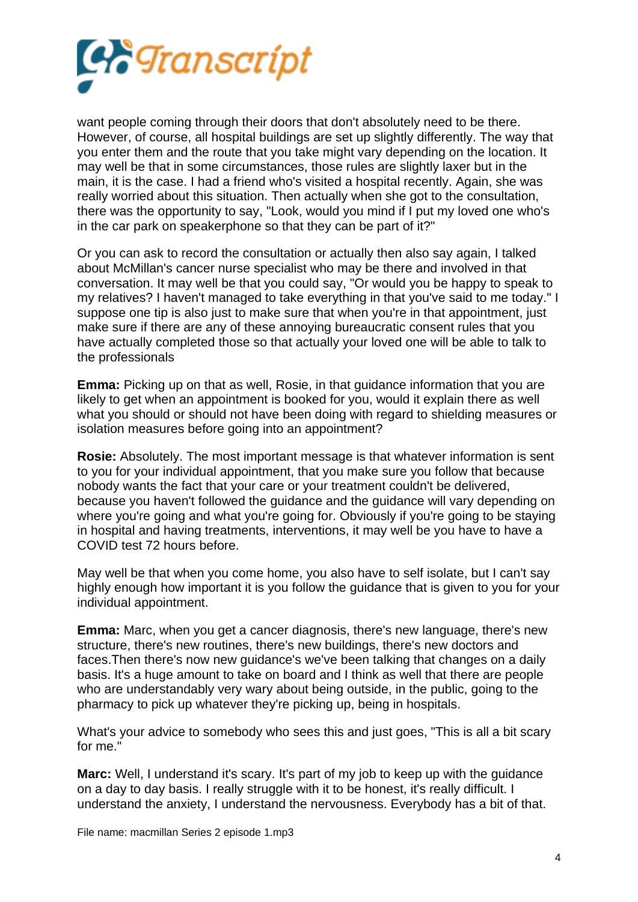

want people coming through their doors that don't absolutely need to be there. However, of course, all hospital buildings are set up slightly differently. The way that you enter them and the route that you take might vary depending on the location. It may well be that in some circumstances, those rules are slightly laxer but in the main, it is the case. I had a friend who's visited a hospital recently. Again, she was really worried about this situation. Then actually when she got to the consultation, there was the opportunity to say, "Look, would you mind if I put my loved one who's in the car park on speakerphone so that they can be part of it?"

Or you can ask to record the consultation or actually then also say again, I talked about McMillan's cancer nurse specialist who may be there and involved in that conversation. It may well be that you could say, "Or would you be happy to speak to my relatives? I haven't managed to take everything in that you've said to me today." I suppose one tip is also just to make sure that when you're in that appointment, just make sure if there are any of these annoying bureaucratic consent rules that you have actually completed those so that actually your loved one will be able to talk to the professionals

**Emma:** Picking up on that as well, Rosie, in that guidance information that you are likely to get when an appointment is booked for you, would it explain there as well what you should or should not have been doing with regard to shielding measures or isolation measures before going into an appointment?

**Rosie:** Absolutely. The most important message is that whatever information is sent to you for your individual appointment, that you make sure you follow that because nobody wants the fact that your care or your treatment couldn't be delivered, because you haven't followed the guidance and the guidance will vary depending on where you're going and what you're going for. Obviously if you're going to be staying in hospital and having treatments, interventions, it may well be you have to have a COVID test 72 hours before.

May well be that when you come home, you also have to self isolate, but I can't say highly enough how important it is you follow the guidance that is given to you for your individual appointment.

**Emma:** Marc, when you get a cancer diagnosis, there's new language, there's new structure, there's new routines, there's new buildings, there's new doctors and faces.Then there's now new guidance's we've been talking that changes on a daily basis. It's a huge amount to take on board and I think as well that there are people who are understandably very wary about being outside, in the public, going to the pharmacy to pick up whatever they're picking up, being in hospitals.

What's your advice to somebody who sees this and just goes, "This is all a bit scary for me."

**Marc:** Well, I understand it's scary. It's part of my job to keep up with the guidance on a day to day basis. I really struggle with it to be honest, it's really difficult. I understand the anxiety, I understand the nervousness. Everybody has a bit of that.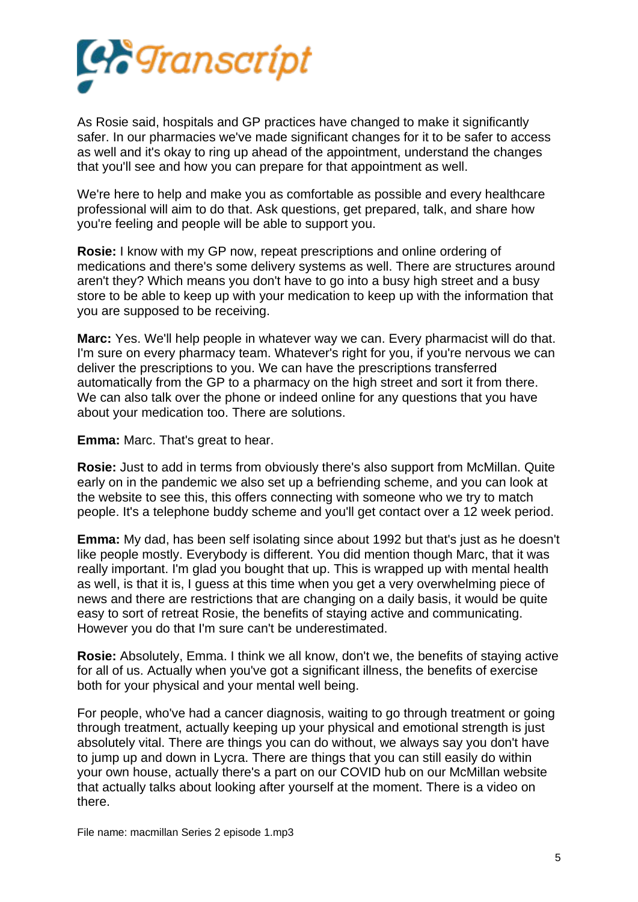

As Rosie said, hospitals and GP practices have changed to make it significantly safer. In our pharmacies we've made significant changes for it to be safer to access as well and it's okay to ring up ahead of the appointment, understand the changes that you'll see and how you can prepare for that appointment as well.

We're here to help and make you as comfortable as possible and every healthcare professional will aim to do that. Ask questions, get prepared, talk, and share how you're feeling and people will be able to support you.

**Rosie:** I know with my GP now, repeat prescriptions and online ordering of medications and there's some delivery systems as well. There are structures around aren't they? Which means you don't have to go into a busy high street and a busy store to be able to keep up with your medication to keep up with the information that you are supposed to be receiving.

**Marc:** Yes. We'll help people in whatever way we can. Every pharmacist will do that. I'm sure on every pharmacy team. Whatever's right for you, if you're nervous we can deliver the prescriptions to you. We can have the prescriptions transferred automatically from the GP to a pharmacy on the high street and sort it from there. We can also talk over the phone or indeed online for any questions that you have about your medication too. There are solutions.

**Emma:** Marc. That's great to hear.

**Rosie:** Just to add in terms from obviously there's also support from McMillan. Quite early on in the pandemic we also set up a befriending scheme, and you can look at the website to see this, this offers connecting with someone who we try to match people. It's a telephone buddy scheme and you'll get contact over a 12 week period.

**Emma:** My dad, has been self isolating since about 1992 but that's just as he doesn't like people mostly. Everybody is different. You did mention though Marc, that it was really important. I'm glad you bought that up. This is wrapped up with mental health as well, is that it is, I guess at this time when you get a very overwhelming piece of news and there are restrictions that are changing on a daily basis, it would be quite easy to sort of retreat Rosie, the benefits of staying active and communicating. However you do that I'm sure can't be underestimated.

**Rosie:** Absolutely, Emma. I think we all know, don't we, the benefits of staying active for all of us. Actually when you've got a significant illness, the benefits of exercise both for your physical and your mental well being.

For people, who've had a cancer diagnosis, waiting to go through treatment or going through treatment, actually keeping up your physical and emotional strength is just absolutely vital. There are things you can do without, we always say you don't have to jump up and down in Lycra. There are things that you can still easily do within your own house, actually there's a part on our COVID hub on our McMillan website that actually talks about looking after yourself at the moment. There is a video on there.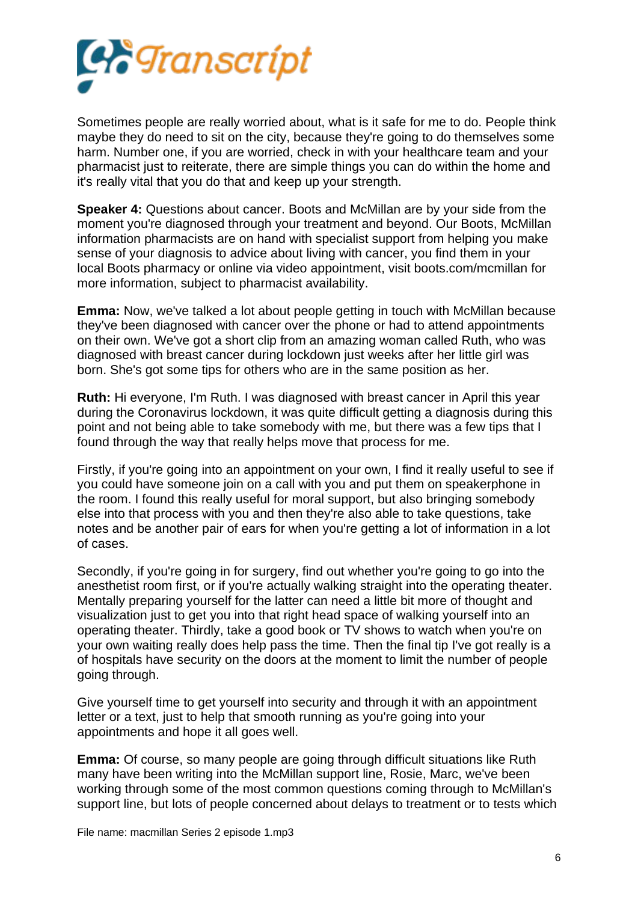

Sometimes people are really worried about, what is it safe for me to do. People think maybe they do need to sit on the city, because they're going to do themselves some harm. Number one, if you are worried, check in with your healthcare team and your pharmacist just to reiterate, there are simple things you can do within the home and it's really vital that you do that and keep up your strength.

**Speaker 4:** Questions about cancer. Boots and McMillan are by your side from the moment you're diagnosed through your treatment and beyond. Our Boots, McMillan information pharmacists are on hand with specialist support from helping you make sense of your diagnosis to advice about living with cancer, you find them in your local Boots pharmacy or online via video appointment, visit boots.com/mcmillan for more information, subject to pharmacist availability.

**Emma:** Now, we've talked a lot about people getting in touch with McMillan because they've been diagnosed with cancer over the phone or had to attend appointments on their own. We've got a short clip from an amazing woman called Ruth, who was diagnosed with breast cancer during lockdown just weeks after her little girl was born. She's got some tips for others who are in the same position as her.

**Ruth:** Hi everyone, I'm Ruth. I was diagnosed with breast cancer in April this year during the Coronavirus lockdown, it was quite difficult getting a diagnosis during this point and not being able to take somebody with me, but there was a few tips that I found through the way that really helps move that process for me.

Firstly, if you're going into an appointment on your own, I find it really useful to see if you could have someone join on a call with you and put them on speakerphone in the room. I found this really useful for moral support, but also bringing somebody else into that process with you and then they're also able to take questions, take notes and be another pair of ears for when you're getting a lot of information in a lot of cases.

Secondly, if you're going in for surgery, find out whether you're going to go into the anesthetist room first, or if you're actually walking straight into the operating theater. Mentally preparing yourself for the latter can need a little bit more of thought and visualization just to get you into that right head space of walking yourself into an operating theater. Thirdly, take a good book or TV shows to watch when you're on your own waiting really does help pass the time. Then the final tip I've got really is a of hospitals have security on the doors at the moment to limit the number of people going through.

Give yourself time to get yourself into security and through it with an appointment letter or a text, just to help that smooth running as you're going into your appointments and hope it all goes well.

**Emma:** Of course, so many people are going through difficult situations like Ruth many have been writing into the McMillan support line, Rosie, Marc, we've been working through some of the most common questions coming through to McMillan's support line, but lots of people concerned about delays to treatment or to tests which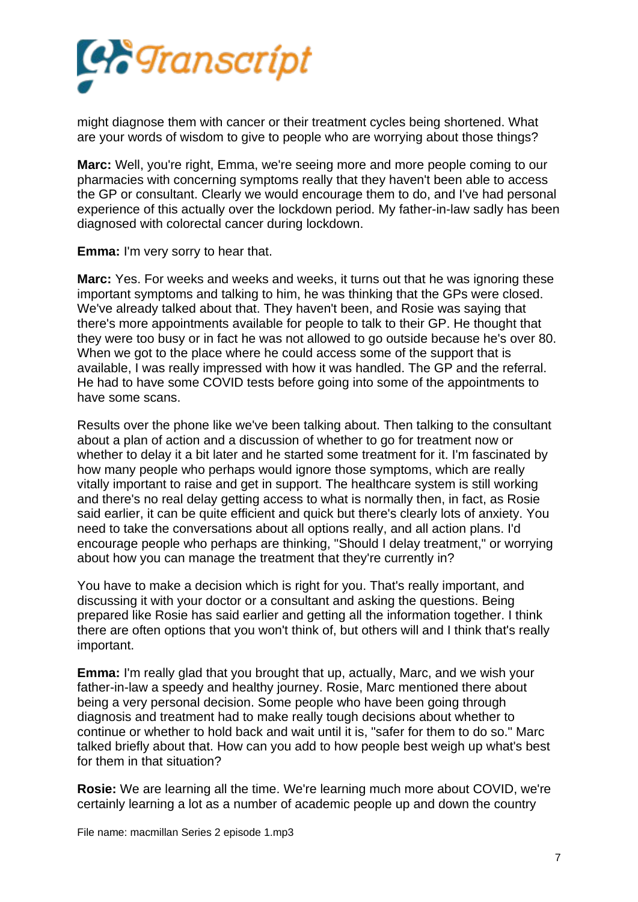

might diagnose them with cancer or their treatment cycles being shortened. What are your words of wisdom to give to people who are worrying about those things?

**Marc:** Well, you're right, Emma, we're seeing more and more people coming to our pharmacies with concerning symptoms really that they haven't been able to access the GP or consultant. Clearly we would encourage them to do, and I've had personal experience of this actually over the lockdown period. My father-in-law sadly has been diagnosed with colorectal cancer during lockdown.

**Emma:** I'm very sorry to hear that.

**Marc:** Yes. For weeks and weeks and weeks, it turns out that he was ignoring these important symptoms and talking to him, he was thinking that the GPs were closed. We've already talked about that. They haven't been, and Rosie was saying that there's more appointments available for people to talk to their GP. He thought that they were too busy or in fact he was not allowed to go outside because he's over 80. When we got to the place where he could access some of the support that is available, I was really impressed with how it was handled. The GP and the referral. He had to have some COVID tests before going into some of the appointments to have some scans.

Results over the phone like we've been talking about. Then talking to the consultant about a plan of action and a discussion of whether to go for treatment now or whether to delay it a bit later and he started some treatment for it. I'm fascinated by how many people who perhaps would ignore those symptoms, which are really vitally important to raise and get in support. The healthcare system is still working and there's no real delay getting access to what is normally then, in fact, as Rosie said earlier, it can be quite efficient and quick but there's clearly lots of anxiety. You need to take the conversations about all options really, and all action plans. I'd encourage people who perhaps are thinking, "Should I delay treatment," or worrying about how you can manage the treatment that they're currently in?

You have to make a decision which is right for you. That's really important, and discussing it with your doctor or a consultant and asking the questions. Being prepared like Rosie has said earlier and getting all the information together. I think there are often options that you won't think of, but others will and I think that's really important.

**Emma:** I'm really glad that you brought that up, actually, Marc, and we wish your father-in-law a speedy and healthy journey. Rosie, Marc mentioned there about being a very personal decision. Some people who have been going through diagnosis and treatment had to make really tough decisions about whether to continue or whether to hold back and wait until it is, "safer for them to do so." Marc talked briefly about that. How can you add to how people best weigh up what's best for them in that situation?

**Rosie:** We are learning all the time. We're learning much more about COVID, we're certainly learning a lot as a number of academic people up and down the country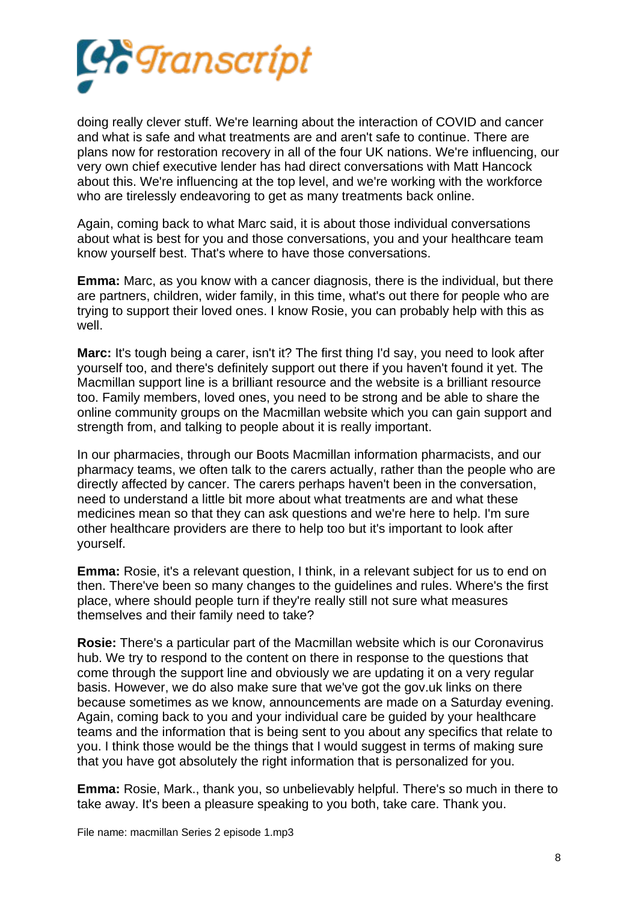

doing really clever stuff. We're learning about the interaction of COVID and cancer and what is safe and what treatments are and aren't safe to continue. There are plans now for restoration recovery in all of the four UK nations. We're influencing, our very own chief executive lender has had direct conversations with Matt Hancock about this. We're influencing at the top level, and we're working with the workforce who are tirelessly endeavoring to get as many treatments back online.

Again, coming back to what Marc said, it is about those individual conversations about what is best for you and those conversations, you and your healthcare team know yourself best. That's where to have those conversations.

**Emma:** Marc, as you know with a cancer diagnosis, there is the individual, but there are partners, children, wider family, in this time, what's out there for people who are trying to support their loved ones. I know Rosie, you can probably help with this as well.

**Marc:** It's tough being a carer, isn't it? The first thing I'd say, you need to look after yourself too, and there's definitely support out there if you haven't found it yet. The Macmillan support line is a brilliant resource and the website is a brilliant resource too. Family members, loved ones, you need to be strong and be able to share the online community groups on the Macmillan website which you can gain support and strength from, and talking to people about it is really important.

In our pharmacies, through our Boots Macmillan information pharmacists, and our pharmacy teams, we often talk to the carers actually, rather than the people who are directly affected by cancer. The carers perhaps haven't been in the conversation, need to understand a little bit more about what treatments are and what these medicines mean so that they can ask questions and we're here to help. I'm sure other healthcare providers are there to help too but it's important to look after yourself.

**Emma:** Rosie, it's a relevant question, I think, in a relevant subject for us to end on then. There've been so many changes to the guidelines and rules. Where's the first place, where should people turn if they're really still not sure what measures themselves and their family need to take?

**Rosie:** There's a particular part of the Macmillan website which is our Coronavirus hub. We try to respond to the content on there in response to the questions that come through the support line and obviously we are updating it on a very regular basis. However, we do also make sure that we've got the gov.uk links on there because sometimes as we know, announcements are made on a Saturday evening. Again, coming back to you and your individual care be guided by your healthcare teams and the information that is being sent to you about any specifics that relate to you. I think those would be the things that I would suggest in terms of making sure that you have got absolutely the right information that is personalized for you.

**Emma:** Rosie, Mark., thank you, so unbelievably helpful. There's so much in there to take away. It's been a pleasure speaking to you both, take care. Thank you.